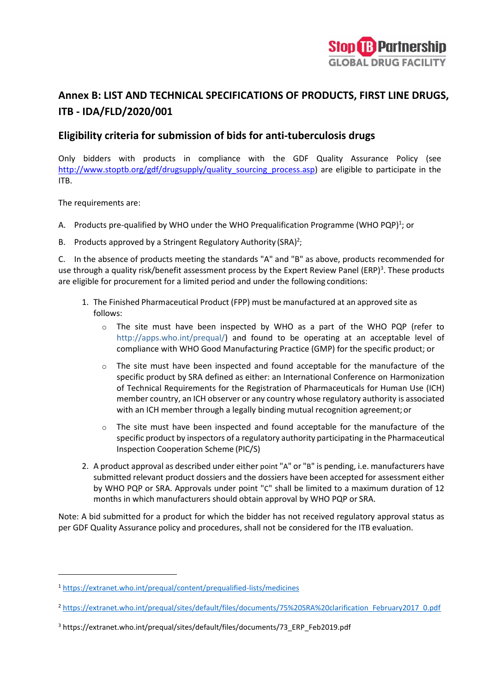

# **Annex B: LIST AND TECHNICAL SPECIFICATIONS OF PRODUCTS, FIRST LINE DRUGS, ITB - IDA/FLD/2020/001**

### **Eligibility criteria for submission of bids for anti-tuberculosis drugs**

Only bidders with products in compliance with the GDF Quality Assurance Policy (see http://www.stoptb.org/gdf/drugsupply/quality sourcing process.asp) are eligible to participate in the ITB.

The requirements are:

- A. Products pre-qualified by WHO under the WHO Prequalification Programme (WHO PQP)<sup>1</sup>; or
- B. Products approved by a Stringent Regulatory Authority (SRA)<sup>2</sup>;

C. In the absence of products meeting the standards "A" and "B" as above, products recommended for use through a quality risk/benefit assessment process by the Expert Review Panel (ERP)<sup>3</sup>. These products are eligible for procurement for a limited period and under the following conditions:

- 1. The Finished Pharmaceutical Product (FPP) must be manufactured at an approved site as follows:
	- $\circ$  The site must have been inspected by WHO as a part of the WHO PQP (refer to [http://apps.who.int/prequal/\)](http://apps.who.int/prequal/) and found to be operating at an acceptable level of compliance with WHO Good Manufacturing Practice (GMP) for the specific product; or
	- o The site must have been inspected and found acceptable for the manufacture of the specific product by SRA defined as either: an International Conference on Harmonization of Technical Requirements for the Registration of Pharmaceuticals for Human Use (ICH) member country, an ICH observer or any country whose regulatory authority is associated with an ICH member through a legally binding mutual recognition agreement;or
	- $\circ$  The site must have been inspected and found acceptable for the manufacture of the specific product by inspectors of a regulatory authority participating in the Pharmaceutical Inspection Cooperation Scheme (PIC/S)
- 2. A product approval as described under either point "A" or "B" is pending, i.e. manufacturers have submitted relevant product dossiers and the dossiers have been accepted for assessment either by WHO PQP or SRA. Approvals under point "C" shall be limited to a maximum duration of 12 months in which manufacturers should obtain approval by WHO PQP or SRA.

Note: A bid submitted for a product for which the bidder has not received regulatory approval status as per GDF Quality Assurance policy and procedures, shall not be considered for the ITB evaluation.

<sup>1</sup> <https://extranet.who.int/prequal/content/prequalified-lists/medicines>

<sup>2</sup> [https://extranet.who.int/prequal/sites/default/files/documents/75%20SRA%20clarification\\_February2017\\_0.pdf](https://extranet.who.int/prequal/sites/default/files/documents/75%20SRA%20clarification_February2017_0.pdf)

<sup>3</sup> https://extranet.who.int/prequal/sites/default/files/documents/73\_ERP\_Feb2019.pdf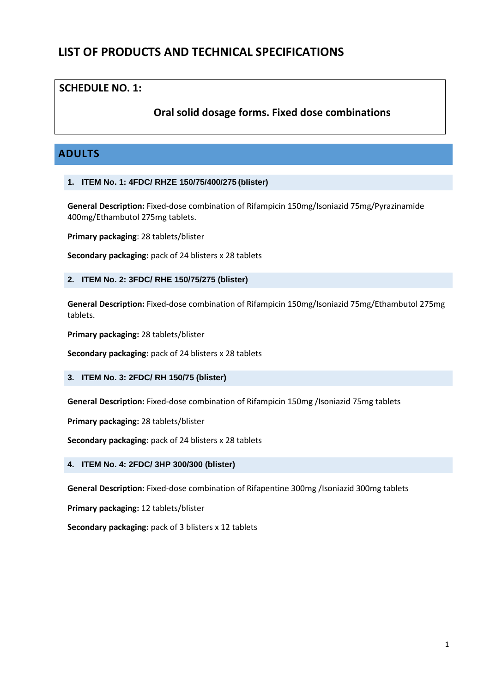# **LIST OF PRODUCTS AND TECHNICAL SPECIFICATIONS**

### **SCHEDULE NO. 1:**

## **Oral solid dosage forms. Fixed dose combinations**

# **ADULTS**

#### **1. ITEM No. 1: 4FDC/ RHZE 150/75/400/275 (blister)**

**General Description:** Fixed-dose combination of Rifampicin 150mg/Isoniazid 75mg/Pyrazinamide 400mg/Ethambutol 275mg tablets.

**Primary packaging**: 28 tablets/blister

**Secondary packaging:** pack of 24 blisters x 28 tablets

#### **2. ITEM No. 2: 3FDC/ RHE 150/75/275 (blister)**

**General Description:** Fixed-dose combination of Rifampicin 150mg/Isoniazid 75mg/Ethambutol 275mg tablets.

**Primary packaging:** 28 tablets/blister

**Secondary packaging:** pack of 24 blisters x 28 tablets

#### **3. ITEM No. 3: 2FDC/ RH 150/75 (blister)**

**General Description:** Fixed-dose combination of Rifampicin 150mg /Isoniazid 75mg tablets

**Primary packaging:** 28 tablets/blister

**Secondary packaging:** pack of 24 blisters x 28 tablets

#### **4. ITEM No. 4: 2FDC/ 3HP 300/300 (blister)**

**General Description:** Fixed-dose combination of Rifapentine 300mg /Isoniazid 300mg tablets

**Primary packaging:** 12 tablets/blister

**Secondary packaging:** pack of 3 blisters x 12 tablets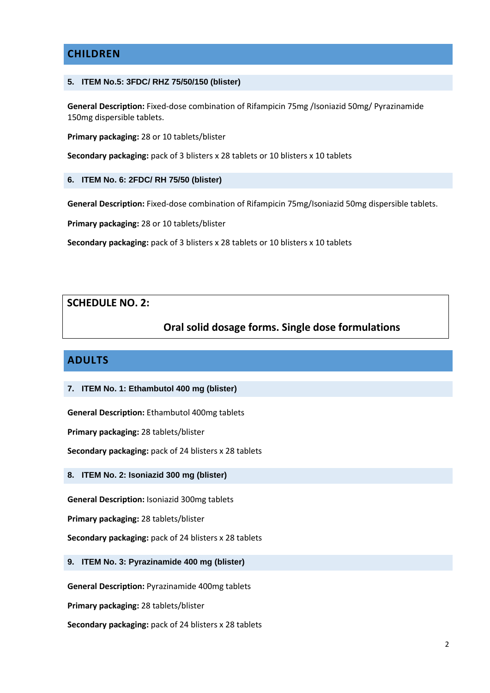# **CHILDREN**

#### **5. ITEM No.5: 3FDC/ RHZ 75/50/150 (blister)**

**General Description:** Fixed-dose combination of Rifampicin 75mg /Isoniazid 50mg/ Pyrazinamide 150mg dispersible tablets.

**Primary packaging:** 28 or 10 tablets/blister

**Secondary packaging:** pack of 3 blisters x 28 tablets or 10 blisters x 10 tablets

#### **6. ITEM No. 6: 2FDC/ RH 75/50 (blister)**

**General Description:** Fixed-dose combination of Rifampicin 75mg/Isoniazid 50mg dispersible tablets.

**Primary packaging:** 28 or 10 tablets/blister

**Secondary packaging:** pack of 3 blisters x 28 tablets or 10 blisters x 10 tablets

### **SCHEDULE NO. 2:**

## **Oral solid dosage forms. Single dose formulations**

### **ADULTS**

#### **7. ITEM No. 1: Ethambutol 400 mg (blister)**

**General Description:** Ethambutol 400mg tablets

**Primary packaging:** 28 tablets/blister

**Secondary packaging:** pack of 24 blisters x 28 tablets

**8. ITEM No. 2: Isoniazid 300 mg (blister)**

**General Description:** Isoniazid 300mg tablets

**Primary packaging:** 28 tablets/blister

**Secondary packaging:** pack of 24 blisters x 28 tablets

**9. ITEM No. 3: Pyrazinamide 400 mg (blister)**

**General Description:** Pyrazinamide 400mg tablets

**Primary packaging:** 28 tablets/blister

**Secondary packaging:** pack of 24 blisters x 28 tablets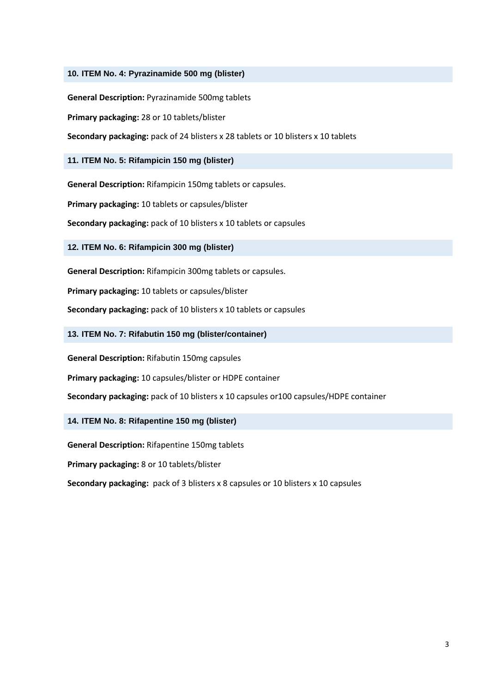#### **10. ITEM No. 4: Pyrazinamide 500 mg (blister)**

**General Description:** Pyrazinamide 500mg tablets

**Primary packaging:** 28 or 10 tablets/blister

**Secondary packaging:** pack of 24 blisters x 28 tablets or 10 blisters x 10 tablets

#### **11. ITEM No. 5: Rifampicin 150 mg (blister)**

**General Description:** Rifampicin 150mg tablets or capsules.

**Primary packaging:** 10 tablets or capsules/blister

**Secondary packaging:** pack of 10 blisters x 10 tablets or capsules

**12. ITEM No. 6: Rifampicin 300 mg (blister)**

**General Description:** Rifampicin 300mg tablets or capsules.

**Primary packaging:** 10 tablets or capsules/blister

**Secondary packaging:** pack of 10 blisters x 10 tablets or capsules

**13. ITEM No. 7: Rifabutin 150 mg (blister/container)**

**General Description:** Rifabutin 150mg capsules

**Primary packaging:** 10 capsules/blister or HDPE container

**Secondary packaging:** pack of 10 blisters x 10 capsules or100 capsules/HDPE container

#### **14. ITEM No. 8: Rifapentine 150 mg (blister)**

**General Description:** Rifapentine 150mg tablets

**Primary packaging:** 8 or 10 tablets/blister

**Secondary packaging:** pack of 3 blisters x 8 capsules or 10 blisters x 10 capsules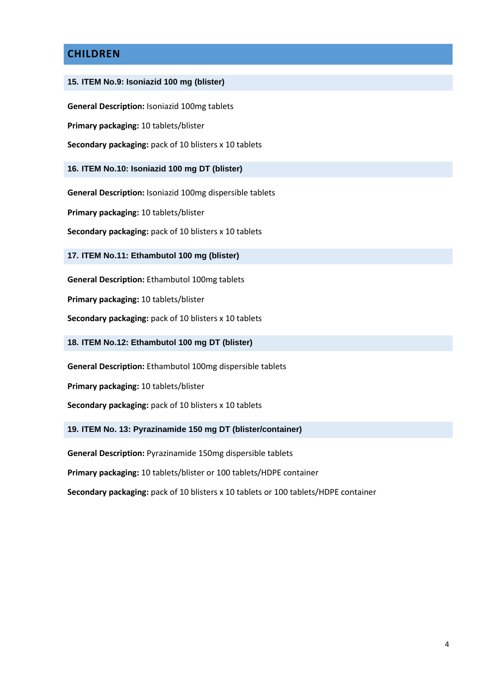# **CHILDREN**

#### **15. ITEM No.9: Isoniazid 100 mg (blister)**

**General Description:** Isoniazid 100mg tablets

**Primary packaging:** 10 tablets/blister

**Secondary packaging:** pack of 10 blisters x 10 tablets

**16. ITEM No.10: Isoniazid 100 mg DT (blister)**

**General Description:** Isoniazid 100mg dispersible tablets

**Primary packaging:** 10 tablets/blister

**Secondary packaging:** pack of 10 blisters x 10 tablets

**17. ITEM No.11: Ethambutol 100 mg (blister)**

**General Description:** Ethambutol 100mg tablets

**Primary packaging:** 10 tablets/blister

**Secondary packaging:** pack of 10 blisters x 10 tablets

**18. ITEM No.12: Ethambutol 100 mg DT (blister)**

**General Description:** Ethambutol 100mg dispersible tablets

**Primary packaging:** 10 tablets/blister

**Secondary packaging:** pack of 10 blisters x 10 tablets

**19. ITEM No. 13: Pyrazinamide 150 mg DT (blister/container)**

**General Description:** Pyrazinamide 150mg dispersible tablets

**Primary packaging:** 10 tablets/blister or 100 tablets/HDPE container

**Secondary packaging:** pack of 10 blisters x 10 tablets or 100 tablets/HDPE container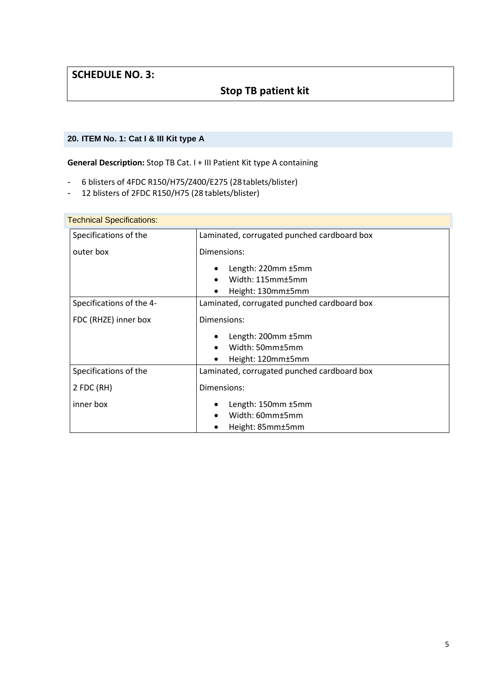# **SCHEDULE NO. 3:**

# **Stop TB patient kit**

### **20. ITEM No. 1: Cat I & III Kit type A**

**General Description:** Stop TB Cat. I + III Patient Kit type A containing

- 6 blisters of 4FDC R150/H75/Z400/E275 (28tablets/blister)
- 12 blisters of 2FDC R150/H75 (28 tablets/blister)

| <b>Technical Specifications:</b> |                                             |
|----------------------------------|---------------------------------------------|
| Specifications of the            | Laminated, corrugated punched cardboard box |
| outer box                        | Dimensions:                                 |
|                                  | Length: 220mm ±5mm                          |
|                                  | Width: 115mm±5mm                            |
|                                  | Height: 130mm±5mm                           |
| Specifications of the 4-         | Laminated, corrugated punched cardboard box |
| FDC (RHZE) inner box             | Dimensions:                                 |
|                                  | Length: 200mm ±5mm                          |
|                                  | Width: 50mm±5mm                             |
|                                  | Height: 120mm±5mm                           |
| Specifications of the            | Laminated, corrugated punched cardboard box |
| 2 FDC (RH)                       | Dimensions:                                 |
| inner box                        | Length: 150mm ±5mm                          |
|                                  | Width: 60mm±5mm                             |
|                                  | Height: 85mm±5mm                            |

# Technical Specification